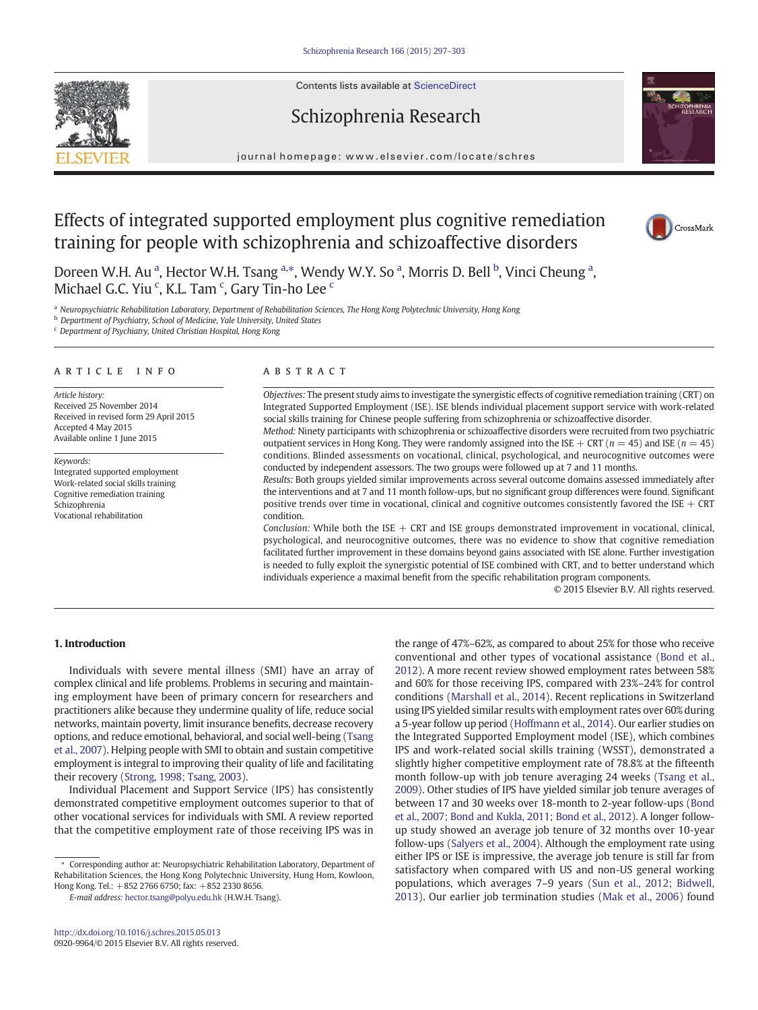Contents lists available at ScienceDirect



# journal homepage:<www.elsevier.com/locate/schres>

Schizophrenia Research

# Effects of integrated supported employment plus cognitive remediation training for people with schizophrenia and schizoaffective disorders



Doreen W.H. Au <sup>a</sup>, Hector W.H. Tsang <sup>a,\*</sup>, Wendy W.Y. So <sup>a</sup>, Morris D. Bell <sup>b</sup>, Vinci Cheung <sup>a</sup>, Michael G.C. Yiu <sup>c</sup>, K.L. Tam <sup>c</sup>, Gary Tin-ho Lee <sup>c</sup>

a Neuropsychiatric Rehabilitation Laboratory, Department of Rehabilitation Sciences, The Hong Kong Polytechnic University, Hong Kong

**b** Department of Psychiatry, School of Medicine, Yale University, United States

<sup>c</sup> Department of Psychiatry, United Christian Hospital, Hong Kong

## article info abstract

Article history: Received 25 November 2014 Received in revised form 29 April 2015 Accepted 4 May 2015 Available online 1 June 2015

Keywords: Integrated supported employment Work-related social skills training Cognitive remediation training Schizophrenia Vocational rehabilitation

Objectives: The present study aims to investigate the synergistic effects of cognitive remediation training (CRT) on Integrated Supported Employment (ISE). ISE blends individual placement support service with work-related social skills training for Chinese people suffering from schizophrenia or schizoaffective disorder. Method: Ninety participants with schizophrenia or schizoaffective disorders were recruited from two psychiatric

outpatient services in Hong Kong. They were randomly assigned into the ISE + CRT ( $n = 45$ ) and ISE ( $n = 45$ ) conditions. Blinded assessments on vocational, clinical, psychological, and neurocognitive outcomes were conducted by independent assessors. The two groups were followed up at 7 and 11 months.

Results: Both groups yielded similar improvements across several outcome domains assessed immediately after the interventions and at 7 and 11 month follow-ups, but no significant group differences were found. Significant positive trends over time in vocational, clinical and cognitive outcomes consistently favored the  $ISE + CRT$ condition.

Conclusion: While both the ISE  $+$  CRT and ISE groups demonstrated improvement in vocational, clinical, psychological, and neurocognitive outcomes, there was no evidence to show that cognitive remediation facilitated further improvement in these domains beyond gains associated with ISE alone. Further investigation is needed to fully exploit the synergistic potential of ISE combined with CRT, and to better understand which individuals experience a maximal benefit from the specific rehabilitation program components.

© 2015 Elsevier B.V. All rights reserved.

## 1. Introduction

Individuals with severe mental illness (SMI) have an array of complex clinical and life problems. Problems in securing and maintaining employment have been of primary concern for researchers and practitioners alike because they undermine quality of life, reduce social networks, maintain poverty, limit insurance benefits, decrease recovery options, and reduce emotional, behavioral, and social well-being [\(Tsang](#page--1-0) [et al., 2007](#page--1-0)). Helping people with SMI to obtain and sustain competitive employment is integral to improving their quality of life and facilitating their recovery [\(Strong, 1998; Tsang, 2003\)](#page--1-0).

Individual Placement and Support Service (IPS) has consistently demonstrated competitive employment outcomes superior to that of other vocational services for individuals with SMI. A review reported that the competitive employment rate of those receiving IPS was in

⁎ Corresponding author at: Neuropsychiatric Rehabilitation Laboratory, Department of Rehabilitation Sciences, the Hong Kong Polytechnic University, Hung Hom, Kowloon, Hong Kong. Tel.: +852 2766 6750; fax: +852 2330 8656.

E-mail address: [hector.tsang@polyu.edu.hk](mailto:hector.tsang@polyu.edu.hk) (H.W.H. Tsang).

the range of 47%–62%, as compared to about 25% for those who receive conventional and other types of vocational assistance [\(Bond et al.,](#page--1-0) [2012\)](#page--1-0). A more recent review showed employment rates between 58% and 60% for those receiving IPS, compared with 23%–24% for control conditions ([Marshall et al., 2014\)](#page--1-0). Recent replications in Switzerland using IPS yielded similar results with employment rates over 60% during a 5-year follow up period [\(Hoffmann et al., 2014](#page--1-0)). Our earlier studies on the Integrated Supported Employment model (ISE), which combines IPS and work-related social skills training (WSST), demonstrated a slightly higher competitive employment rate of 78.8% at the fifteenth month follow-up with job tenure averaging 24 weeks ([Tsang et al.,](#page--1-0) [2009](#page--1-0)). Other studies of IPS have yielded similar job tenure averages of between 17 and 30 weeks over 18-month to 2-year follow-ups ([Bond](#page--1-0) [et al., 2007; Bond and Kukla, 2011; Bond et al., 2012](#page--1-0)). A longer followup study showed an average job tenure of 32 months over 10-year follow-ups ([Salyers et al., 2004](#page--1-0)). Although the employment rate using either IPS or ISE is impressive, the average job tenure is still far from satisfactory when compared with US and non-US general working populations, which averages 7–9 years [\(Sun et al., 2012; Bidwell,](#page--1-0) [2013\)](#page--1-0). Our earlier job termination studies ([Mak et al., 2006\)](#page--1-0) found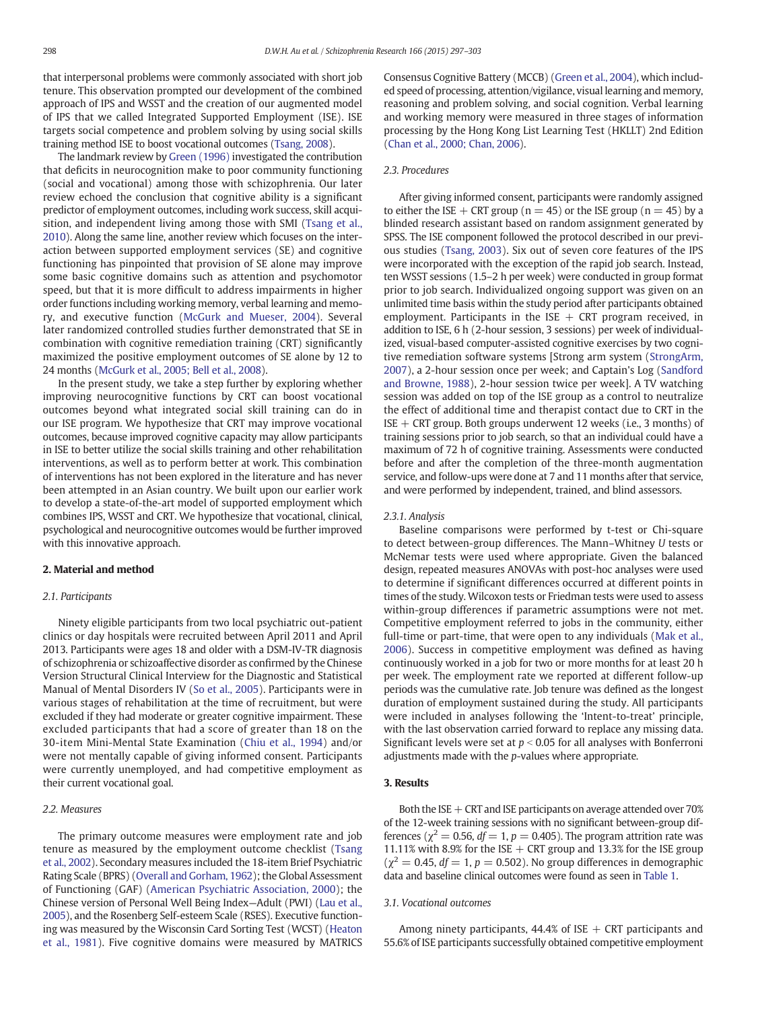that interpersonal problems were commonly associated with short job tenure. This observation prompted our development of the combined approach of IPS and WSST and the creation of our augmented model of IPS that we called Integrated Supported Employment (ISE). ISE targets social competence and problem solving by using social skills training method ISE to boost vocational outcomes [\(Tsang, 2008](#page--1-0)).

The landmark review by [Green \(1996\)](#page--1-0) investigated the contribution that deficits in neurocognition make to poor community functioning (social and vocational) among those with schizophrenia. Our later review echoed the conclusion that cognitive ability is a significant predictor of employment outcomes, including work success, skill acquisition, and independent living among those with SMI [\(Tsang et al.,](#page--1-0) [2010\)](#page--1-0). Along the same line, another review which focuses on the interaction between supported employment services (SE) and cognitive functioning has pinpointed that provision of SE alone may improve some basic cognitive domains such as attention and psychomotor speed, but that it is more difficult to address impairments in higher order functions including working memory, verbal learning and memory, and executive function [\(McGurk and Mueser, 2004](#page--1-0)). Several later randomized controlled studies further demonstrated that SE in combination with cognitive remediation training (CRT) significantly maximized the positive employment outcomes of SE alone by 12 to 24 months ([McGurk et al., 2005; Bell et al., 2008](#page--1-0)).

In the present study, we take a step further by exploring whether improving neurocognitive functions by CRT can boost vocational outcomes beyond what integrated social skill training can do in our ISE program. We hypothesize that CRT may improve vocational outcomes, because improved cognitive capacity may allow participants in ISE to better utilize the social skills training and other rehabilitation interventions, as well as to perform better at work. This combination of interventions has not been explored in the literature and has never been attempted in an Asian country. We built upon our earlier work to develop a state-of-the-art model of supported employment which combines IPS, WSST and CRT. We hypothesize that vocational, clinical, psychological and neurocognitive outcomes would be further improved with this innovative approach.

### 2. Material and method

#### 2.1. Participants

Ninety eligible participants from two local psychiatric out-patient clinics or day hospitals were recruited between April 2011 and April 2013. Participants were ages 18 and older with a DSM-IV-TR diagnosis of schizophrenia or schizoaffective disorder as confirmed by the Chinese Version Structural Clinical Interview for the Diagnostic and Statistical Manual of Mental Disorders IV [\(So et al., 2005](#page--1-0)). Participants were in various stages of rehabilitation at the time of recruitment, but were excluded if they had moderate or greater cognitive impairment. These excluded participants that had a score of greater than 18 on the 30-item Mini-Mental State Examination [\(Chiu et al., 1994\)](#page--1-0) and/or were not mentally capable of giving informed consent. Participants were currently unemployed, and had competitive employment as their current vocational goal.

#### 2.2. Measures

The primary outcome measures were employment rate and job tenure as measured by the employment outcome checklist ([Tsang](#page--1-0) [et al., 2002\)](#page--1-0). Secondary measures included the 18-item Brief Psychiatric Rating Scale (BPRS) [\(Overall and Gorham, 1962](#page--1-0)); the Global Assessment of Functioning (GAF) [\(American Psychiatric Association, 2000\)](#page--1-0); the Chinese version of Personal Well Being Index—Adult (PWI) [\(Lau et al.,](#page--1-0) [2005\)](#page--1-0), and the Rosenberg Self-esteem Scale (RSES). Executive functioning was measured by the Wisconsin Card Sorting Test (WCST) [\(Heaton](#page--1-0) [et al., 1981\)](#page--1-0). Five cognitive domains were measured by MATRICS Consensus Cognitive Battery (MCCB) [\(Green et al., 2004](#page--1-0)), which included speed of processing, attention/vigilance, visual learning and memory, reasoning and problem solving, and social cognition. Verbal learning and working memory were measured in three stages of information processing by the Hong Kong List Learning Test (HKLLT) 2nd Edition [\(Chan et al., 2000; Chan, 2006](#page--1-0)).

#### 2.3. Procedures

After giving informed consent, participants were randomly assigned to either the ISE  $+$  CRT group (n = 45) or the ISE group (n = 45) by a blinded research assistant based on random assignment generated by SPSS. The ISE component followed the protocol described in our previous studies ([Tsang, 2003](#page--1-0)). Six out of seven core features of the IPS were incorporated with the exception of the rapid job search. Instead, ten WSST sessions (1.5–2 h per week) were conducted in group format prior to job search. Individualized ongoing support was given on an unlimited time basis within the study period after participants obtained employment. Participants in the ISE  $+$  CRT program received, in addition to ISE, 6 h (2-hour session, 3 sessions) per week of individualized, visual-based computer-assisted cognitive exercises by two cognitive remediation software systems [Strong arm system ([StrongArm,](#page--1-0) [2007](#page--1-0)), a 2-hour session once per week; and Captain's Log ([Sandford](#page--1-0) [and Browne, 1988](#page--1-0)), 2-hour session twice per week]. A TV watching session was added on top of the ISE group as a control to neutralize the effect of additional time and therapist contact due to CRT in the ISE + CRT group. Both groups underwent 12 weeks (i.e., 3 months) of training sessions prior to job search, so that an individual could have a maximum of 72 h of cognitive training. Assessments were conducted before and after the completion of the three-month augmentation service, and follow-ups were done at 7 and 11 months after that service, and were performed by independent, trained, and blind assessors.

#### 2.3.1. Analysis

Baseline comparisons were performed by t-test or Chi-square to detect between-group differences. The Mann–Whitney U tests or McNemar tests were used where appropriate. Given the balanced design, repeated measures ANOVAs with post-hoc analyses were used to determine if significant differences occurred at different points in times of the study. Wilcoxon tests or Friedman tests were used to assess within-group differences if parametric assumptions were not met. Competitive employment referred to jobs in the community, either full-time or part-time, that were open to any individuals [\(Mak et al.,](#page--1-0) [2006](#page--1-0)). Success in competitive employment was defined as having continuously worked in a job for two or more months for at least 20 h per week. The employment rate we reported at different follow-up periods was the cumulative rate. Job tenure was defined as the longest duration of employment sustained during the study. All participants were included in analyses following the 'Intent-to-treat' principle, with the last observation carried forward to replace any missing data. Significant levels were set at  $p < 0.05$  for all analyses with Bonferroni adjustments made with the  $p$ -values where appropriate.

### 3. Results

Both the ISE  $+$  CRT and ISE participants on average attended over 70% of the 12-week training sessions with no significant between-group differences ( $\chi^2 = 0.56$ ,  $df = 1$ ,  $p = 0.405$ ). The program attrition rate was 11.11% with 8.9% for the ISE  $+$  CRT group and 13.3% for the ISE group  $(\chi^2 = 0.45, df = 1, p = 0.502)$ . No group differences in demographic data and baseline clinical outcomes were found as seen in [Table 1](#page--1-0).

### 3.1. Vocational outcomes

Among ninety participants, 44.4% of ISE  $+$  CRT participants and 55.6% of ISE participants successfully obtained competitive employment